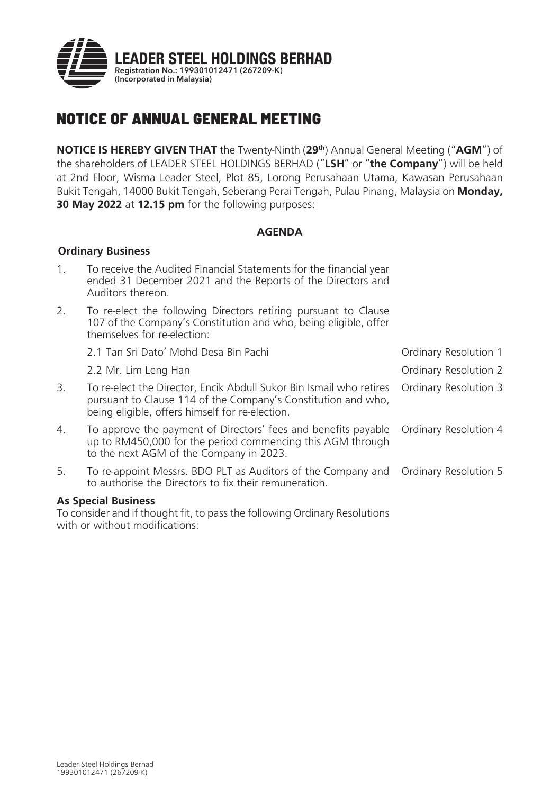

# NOTICE OF ANNUAL GENERAL MEETING

**NOTICE IS HEREBY GIVEN THAT** the Twenty-Ninth (**29th**) Annual General Meeting ("**AGM**") of the shareholders of LEADER STEEL HOLDINGS BERHAD ("**LSH**" or "**the Company**") will be held at 2nd Floor, Wisma Leader Steel, Plot 85, Lorong Perusahaan Utama, Kawasan Perusahaan Bukit Tengah, 14000 Bukit Tengah, Seberang Perai Tengah, Pulau Pinang, Malaysia on **Monday, 30 May 2022** at **12.15 pm** for the following purposes:

# **AGENDA**

## **Ordinary Business**

| $\mathbf{1}$ . | To receive the Audited Financial Statements for the financial year<br>ended 31 December 2021 and the Reports of the Directors and<br>Auditors thereon.             |                       |
|----------------|--------------------------------------------------------------------------------------------------------------------------------------------------------------------|-----------------------|
| 2.             | To re-elect the following Directors retiring pursuant to Clause<br>107 of the Company's Constitution and who, being eligible, offer<br>themselves for re-election: |                       |
|                | 2.1 Tan Sri Dato' Mohd Desa Bin Pachi                                                                                                                              | Ordinary Resolution 1 |
|                | 2.2 Mr. Lim Leng Han                                                                                                                                               | Ordinary Resolution 2 |
| 3.             | To re-elect the Director, Encik Abdull Sukor Bin Ismail who retires Ordinary Resolution 3<br>pursuant to Clause 114 of the Company's Constitution and who,         |                       |

4. To approve the payment of Directors' fees and benefits payable up to RM450,000 for the period commencing this AGM through to the next AGM of the Company in 2023. Ordinary Resolution 4

5. To re-appoint Messrs. BDO PLT as Auditors of the Company and to authorise the Directors to fix their remuneration. Ordinary Resolution 5

# **As Special Business**

To consider and if thought fit, to pass the following Ordinary Resolutions with or without modifications:

being eligible, offers himself for re-election.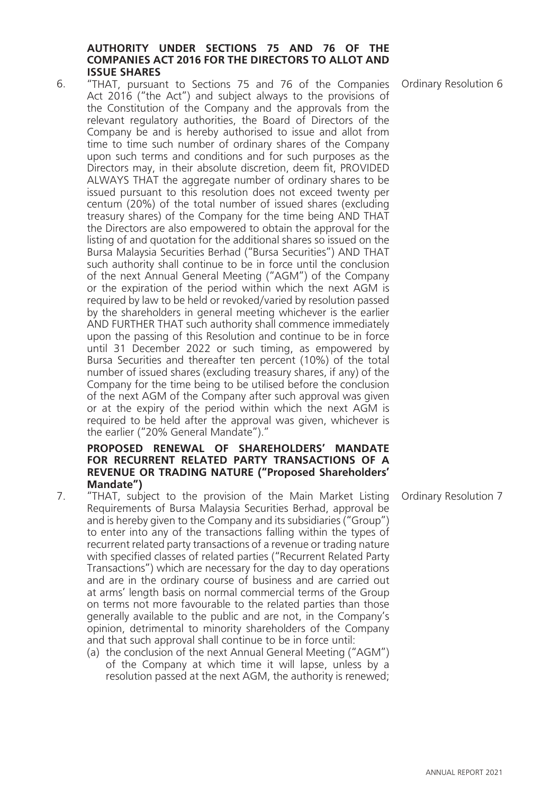## **AUTHORITY UNDER SECTIONS 75 AND 76 OF THE COMPANIES ACT 2016 FOR THE DIRECTORS TO ALLOT AND ISSUE SHARES**

6. "THAT, pursuant to Sections 75 and 76 of the Companies Act 2016 ("the Act") and subject always to the provisions of the Constitution of the Company and the approvals from the relevant regulatory authorities, the Board of Directors of the Company be and is hereby authorised to issue and allot from time to time such number of ordinary shares of the Company upon such terms and conditions and for such purposes as the Directors may, in their absolute discretion, deem fit, PROVIDED ALWAYS THAT the aggregate number of ordinary shares to be issued pursuant to this resolution does not exceed twenty per centum (20%) of the total number of issued shares (excluding treasury shares) of the Company for the time being AND THAT the Directors are also empowered to obtain the approval for the listing of and quotation for the additional shares so issued on the Bursa Malaysia Securities Berhad ("Bursa Securities") AND THAT such authority shall continue to be in force until the conclusion of the next Annual General Meeting ("AGM") of the Company or the expiration of the period within which the next AGM is required by law to be held or revoked/varied by resolution passed by the shareholders in general meeting whichever is the earlier AND FURTHER THAT such authority shall commence immediately upon the passing of this Resolution and continue to be in force until 31 December 2022 or such timing, as empowered by Bursa Securities and thereafter ten percent (10%) of the total number of issued shares (excluding treasury shares, if any) of the Company for the time being to be utilised before the conclusion of the next AGM of the Company after such approval was given or at the expiry of the period within which the next AGM is required to be held after the approval was given, whichever is the earlier ("20% General Mandate")."

## **PROPOSED RENEWAL OF SHAREHOLDERS' MANDATE FOR RECURRENT RELATED PARTY TRANSACTIONS OF A REVENUE OR TRADING NATURE ("Proposed Shareholders' Mandate")**

- 7. "THAT, subject to the provision of the Main Market Listing Requirements of Bursa Malaysia Securities Berhad, approval be and is hereby given to the Company and its subsidiaries ("Group") to enter into any of the transactions falling within the types of recurrent related party transactions of a revenue or trading nature with specified classes of related parties ("Recurrent Related Party Transactions") which are necessary for the day to day operations and are in the ordinary course of business and are carried out at arms' length basis on normal commercial terms of the Group on terms not more favourable to the related parties than those generally available to the public and are not, in the Company's opinion, detrimental to minority shareholders of the Company and that such approval shall continue to be in force until:
	- (a) the conclusion of the next Annual General Meeting ("AGM") of the Company at which time it will lapse, unless by a resolution passed at the next AGM, the authority is renewed;

Ordinary Resolution 6

**3** ANNUAL REPORT 2021

Ordinary Resolution 7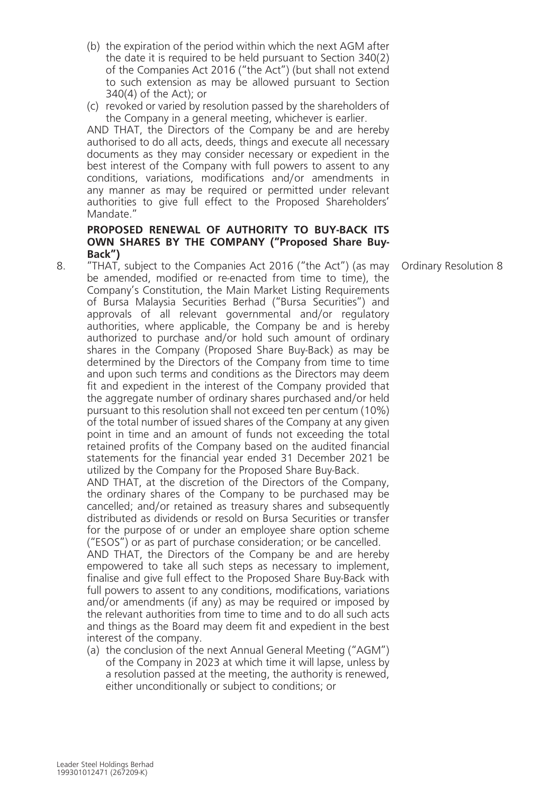- (b) the expiration of the period within which the next AGM after the date it is required to be held pursuant to Section 340(2) of the Companies Act 2016 ("the Act") (but shall not extend to such extension as may be allowed pursuant to Section 340(4) of the Act); or
- (c) revoked or varied by resolution passed by the shareholders of the Company in a general meeting, whichever is earlier.

AND THAT, the Directors of the Company be and are hereby authorised to do all acts, deeds, things and execute all necessary documents as they may consider necessary or expedient in the best interest of the Company with full powers to assent to any conditions, variations, modifications and/or amendments in any manner as may be required or permitted under relevant authorities to give full effect to the Proposed Shareholders' Mandate<sup>"</sup>

## **PROPOSED RENEWAL OF AUTHORITY TO BUY-BACK ITS OWN SHARES BY THE COMPANY ("Proposed Share Buy-Back")**

"THAT, subject to the Companies Act 2016 ("the Act") (as may be amended, modified or re-enacted from time to time), the Company's Constitution, the Main Market Listing Requirements of Bursa Malaysia Securities Berhad ("Bursa Securities") and approvals of all relevant governmental and/or regulatory authorities, where applicable, the Company be and is hereby authorized to purchase and/or hold such amount of ordinary shares in the Company (Proposed Share Buy-Back) as may be determined by the Directors of the Company from time to time and upon such terms and conditions as the Directors may deem fit and expedient in the interest of the Company provided that the aggregate number of ordinary shares purchased and/or held pursuant to this resolution shall not exceed ten per centum (10%) of the total number of issued shares of the Company at any given point in time and an amount of funds not exceeding the total retained profits of the Company based on the audited financial statements for the financial year ended 31 December 2021 be utilized by the Company for the Proposed Share Buy-Back.

AND THAT, at the discretion of the Directors of the Company, the ordinary shares of the Company to be purchased may be cancelled; and/or retained as treasury shares and subsequently distributed as dividends or resold on Bursa Securities or transfer for the purpose of or under an employee share option scheme ("ESOS") or as part of purchase consideration; or be cancelled.

AND THAT, the Directors of the Company be and are hereby empowered to take all such steps as necessary to implement, finalise and give full effect to the Proposed Share Buy-Back with full powers to assent to any conditions, modifications, variations and/or amendments (if any) as may be required or imposed by the relevant authorities from time to time and to do all such acts and things as the Board may deem fit and expedient in the best interest of the company.

(a) the conclusion of the next Annual General Meeting ("AGM") of the Company in 2023 at which time it will lapse, unless by a resolution passed at the meeting, the authority is renewed, either unconditionally or subject to conditions; or

Ordinary Resolution 8

8.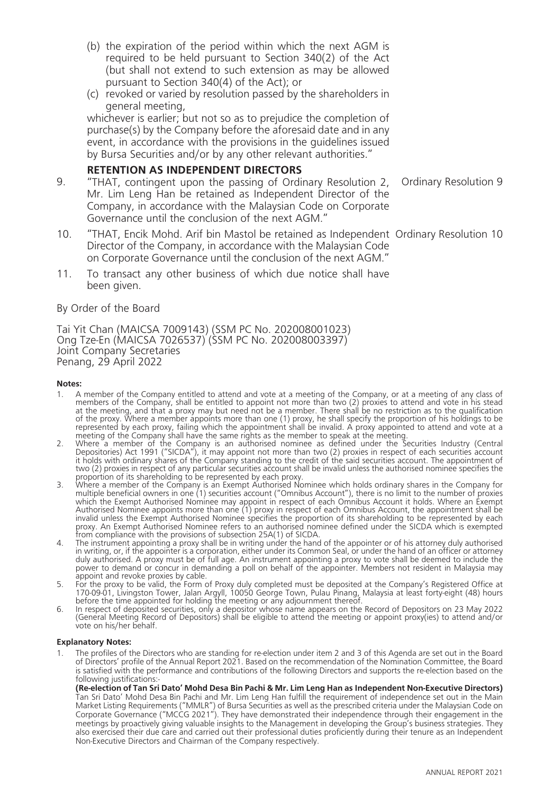- (b) the expiration of the period within which the next AGM is required to be held pursuant to Section 340(2) of the Act (but shall not extend to such extension as may be allowed pursuant to Section 340(4) of the Act); or
- (c) revoked or varied by resolution passed by the shareholders in general meeting,

whichever is earlier; but not so as to prejudice the completion of purchase(s) by the Company before the aforesaid date and in any event, in accordance with the provisions in the guidelines issued by Bursa Securities and/or by any other relevant authorities."

## **RETENTION AS INDEPENDENT DIRECTORS**

- 9. "THAT, contingent upon the passing of Ordinary Resolution 2, Mr. Lim Leng Han be retained as Independent Director of the Company, in accordance with the Malaysian Code on Corporate Governance until the conclusion of the next AGM." Ordinary Resolution 9
- 10. "THAT, Encik Mohd. Arif bin Mastol be retained as Independent Ordinary Resolution 10 Director of the Company, in accordance with the Malaysian Code on Corporate Governance until the conclusion of the next AGM."
- 11. To transact any other business of which due notice shall have been given.

#### By Order of the Board

Tai Yit Chan (MAICSA 7009143) (SSM PC No. 202008001023) Ong Tze-En (MAICSA 7026537) (SSM PC No. 202008003397) Joint Company Secretaries Penang, 29 April 2022

#### **Notes:**

- 1. A member of the Company entitled to attend and vote at a meeting of the Company, or at a meeting of any class of members of the Company, shall be entitled to appoint not more than two (2) proxies to attend and vote in his stead at the meeting, and that a proxy may but need not be a member. There shall be no restriction as to the qualification<br>of the proxy. Where a member appoints more than one (1) proxy, he shall specify the proportion of his hol meeting of the Company shall have the same rights as the member to speak at the meeting.<br>2. Where a member of the Company is an authorised nominee as defined under the Securities Industry (Central
- Depositories) Act 1991 ("SICDA"), it may appoint not more than two (2) proxies in respect of each securities account<br>it holds with ordinary shares of the Company standing to the credit of the said securities account. The a two (2) proxies in respect of any particular securities account shall be invalid unless the authorised nominee specifies the proportion of its shareholding to be represented by each proxy. 3. Where a member of the Company is an Exempt Authorised Nominee which holds ordinary shares in the Company for
- multiple beneficial owners in one (1) securities account ("Omnibus Account"), there is no limit to the number of proxies which the Exempt Authorised Nominee may appoint in respect of each Omnibus Account it holds. Where an Exempt Authorised Nominee appoints more than one (1) proxy in respect of each Omnibus Account, the appointment shall be invalid unless the Exempt Authorised Nominee specifies the proportion of its shareholding to be represented by each proxy. An Exempt Authorised Nominee refers to an authorised nominee defined under the SICDA which is exempted<br>from compliance with the provisions of subsection 25A(1) of SICDA.
- The instrument appointing a proxy shall be in writing under the hand of the appointer or of his attorney duly authorised in writing, or, if the appointer is a corporation, either under its Common Seal, or under the hand of an officer or attorney<br>duly authorised. A proxy must be of full age. An instrument appointing a proxy to vote shall be d power to demand or concur in demanding a poll on behalf of the appointer. Members not resident in Malaysia may<br>appoint and revoke proxies by cable.
- appoint and revoke proxies by cable. 5. For the proxy to be valid, the Form of Proxy duly completed must be deposited at the Company's Registered Office at
- 170-09-01, Livingston Tower, Jalan Argyll, 10050 George Town, Pulau Pinang, Malaysia at least forty-eight (48) hours<br>before the time appointed for holding the meeting or any adjournment thereof.<br>6. In respect of deposited vote on his/her behalf.

#### **Explanatory Notes:**

1. The profiles of the Directors who are standing for re-election under item 2 and 3 of this Agenda are set out in the Board of Directors' profile of the Annual Report 2021. Based on the recommendation of the Nomination Committee, the Board is satisfied with the performance and contributions of the following Directors and supports the re-election based on the following justifications:-

**(Re-election of Tan Sri Dato' Mohd Desa Bin Pachi & Mr. Lim Leng Han as Independent Non-Executive Directors)** Tan Sri Dato' Mohd Desa Bin Pachi and Mr. Lim Leng Han fulfill the requirement of independence set out in the Main Market Listing Requirements ("MMLR") of Bursa Securities as well as the prescribed criteria under the Malaysian Code on<br>Corporate Governance ("MCCG 2021"). They have demonstrated their independence through their engagement meetings by proactively giving valuable insights to the Management in developing the Group's business strategies. They also exercised their due care and carried out their professional duties proficiently during their tenure as an Independent Non-Executive Directors and Chairman of the Company respectively.